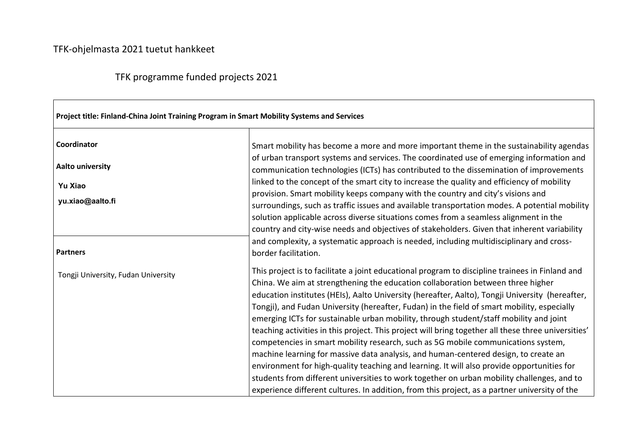## TFK-ohjelmasta 2021 tuetut hankkeet

## TFK programme funded projects 2021

| Project title: Finland-China Joint Training Program in Smart Mobility Systems and Services |                                                                                                                                                                                                                                                                                                                                                                                                                                                                                                                                                                                                                                                                                                                                                                                                                                                                                                                                                                                                                                                                |  |
|--------------------------------------------------------------------------------------------|----------------------------------------------------------------------------------------------------------------------------------------------------------------------------------------------------------------------------------------------------------------------------------------------------------------------------------------------------------------------------------------------------------------------------------------------------------------------------------------------------------------------------------------------------------------------------------------------------------------------------------------------------------------------------------------------------------------------------------------------------------------------------------------------------------------------------------------------------------------------------------------------------------------------------------------------------------------------------------------------------------------------------------------------------------------|--|
| Coordinator                                                                                | Smart mobility has become a more and more important theme in the sustainability agendas                                                                                                                                                                                                                                                                                                                                                                                                                                                                                                                                                                                                                                                                                                                                                                                                                                                                                                                                                                        |  |
| <b>Aalto university</b>                                                                    | of urban transport systems and services. The coordinated use of emerging information and<br>communication technologies (ICTs) has contributed to the dissemination of improvements                                                                                                                                                                                                                                                                                                                                                                                                                                                                                                                                                                                                                                                                                                                                                                                                                                                                             |  |
| <b>Yu Xiao</b>                                                                             | linked to the concept of the smart city to increase the quality and efficiency of mobility                                                                                                                                                                                                                                                                                                                                                                                                                                                                                                                                                                                                                                                                                                                                                                                                                                                                                                                                                                     |  |
| yu.xiao@aalto.fi                                                                           | provision. Smart mobility keeps company with the country and city's visions and<br>surroundings, such as traffic issues and available transportation modes. A potential mobility<br>solution applicable across diverse situations comes from a seamless alignment in the<br>country and city-wise needs and objectives of stakeholders. Given that inherent variability                                                                                                                                                                                                                                                                                                                                                                                                                                                                                                                                                                                                                                                                                        |  |
| <b>Partners</b>                                                                            | and complexity, a systematic approach is needed, including multidisciplinary and cross-<br>border facilitation.                                                                                                                                                                                                                                                                                                                                                                                                                                                                                                                                                                                                                                                                                                                                                                                                                                                                                                                                                |  |
| Tongji University, Fudan University                                                        | This project is to facilitate a joint educational program to discipline trainees in Finland and<br>China. We aim at strengthening the education collaboration between three higher<br>education institutes (HEIs), Aalto University (hereafter, Aalto), Tongji University (hereafter,<br>Tongji), and Fudan University (hereafter, Fudan) in the field of smart mobility, especially<br>emerging ICTs for sustainable urban mobility, through student/staff mobility and joint<br>teaching activities in this project. This project will bring together all these three universities'<br>competencies in smart mobility research, such as 5G mobile communications system,<br>machine learning for massive data analysis, and human-centered design, to create an<br>environment for high-quality teaching and learning. It will also provide opportunities for<br>students from different universities to work together on urban mobility challenges, and to<br>experience different cultures. In addition, from this project, as a partner university of the |  |